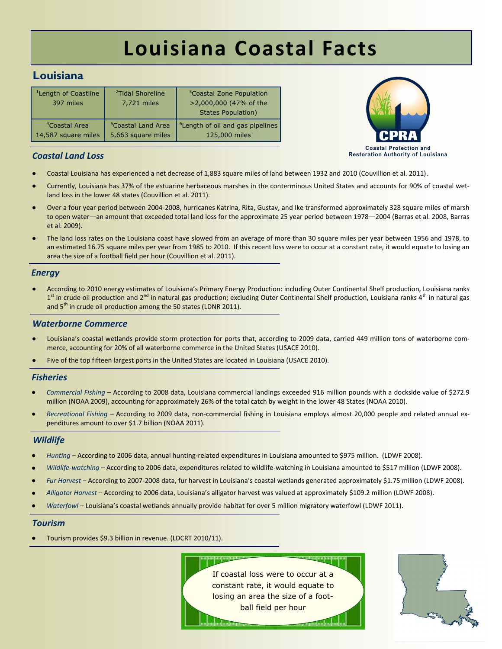# **Louisiana Coastal Facts**

## <span id="page-0-0"></span>**Louisiana**

| <sup>1</sup> Length of Coastline<br>397 miles | <sup>2</sup> Tidal Shoreline<br>7,721 miles | <sup>3</sup> Coastal Zone Population<br>>2,000,000 (47% of the<br><b>States Population)</b> |
|-----------------------------------------------|---------------------------------------------|---------------------------------------------------------------------------------------------|
| <sup>4</sup> Coastal Area                     | <sup>5</sup> Coastal Land Area              | <sup>6</sup> Length of oil and gas pipelines                                                |
| 14,587 square miles                           | 5,663 square miles                          | 125,000 miles                                                                               |



### *Coastal Land Loss*

- Coastal Louisiana has experienced a net decrease of 1,883 square miles of land between 1932 and 2010 (Couvillion et al. 2011).
- Currently, Louisiana has 37% of the estuarine herbaceous marshes in the conterminous United States and accounts for 90% of coastal wetland loss in the lower 48 states (Couvillion et al. 2011).
- Over a four year period between 2004-2008, hurricanes Katrina, Rita, Gustav, and Ike transformed approximately 328 square miles of marsh to open water—an amount that exceeded total land loss for the approximate 25 year period between 1978—2004 (Barras et al. 2008, Barras et al. 2009).
- The land loss rates on the Louisiana coast have slowed from an average of more than 30 square miles per year between 1956 and 1978, to an estimated 16.75 square miles per year from 1985 to 2010. If this recent loss were to occur at a constant rate, it would equate to losing an area the size of a football field per hour (Couvillion et al. 2011).

#### *Energy*

According to 2010 energy estimates of Louisiana's Primary Energy Production: including Outer Continental Shelf production, Louisiana ranks 1<sup>st</sup> in crude oil production and 2<sup>nd</sup> in natural gas production; excluding Outer Continental Shelf production, Louisiana ranks 4<sup>th</sup> in natural gas and  $5<sup>th</sup>$  in crude oil production among the 50 states (LDNR 2011).

#### *Waterborne Commerce*

- Louisiana's coastal wetlands provide storm protection for ports that, according to 2009 data, carried 449 million tons of waterborne commerce, accounting for 20% of all waterborne commerce in the United States (USACE 2010).
- Five of the top fifteen largest ports in the United States are located in Louisiana (USACE 2010).

#### *Fisheries*

- *Commercial Fishing*  According to 2008 data, Louisiana commercial landings exceeded 916 million pounds with a dockside value of \$272.9 million (NOAA 2009), accounting for approximately 26% of the total catch by weight in the lower 48 States (NOAA 2010).
- *Recreational Fishing –* According to 2009 data, non-commercial fishing in Louisiana employs almost 20,000 people and related annual expenditures amount to over \$1.7 billion (NOAA 2011).

#### *Wildlife*

- *Hunting* According to 2006 data, annual hunting-related expenditures in Louisiana amounted to \$975 million. (LDWF 2008).
- *Wildlife-watching*  According to 2006 data, expenditures related to wildlife-watching in Louisiana amounted to \$517 million (LDWF 2008).
- *Fur Harvest*  According to 2007-2008 data, fur harvest in Louisiana's coastal wetlands generated approximately \$1.75 million (LDWF 2008).
- *Alligator Harvest*  According to 2006 data, Louisiana's alligator harvest was valued at approximately \$109.2 million (LDWF 2008).
- *Waterfowl* Louisiana's coastal wetlands annually provide habitat for over 5 million migratory waterfowl (LDWF 2011).

#### *Tourism*

Tourism provides \$9.3 billion in revenue. (LDCRT 2010/11).